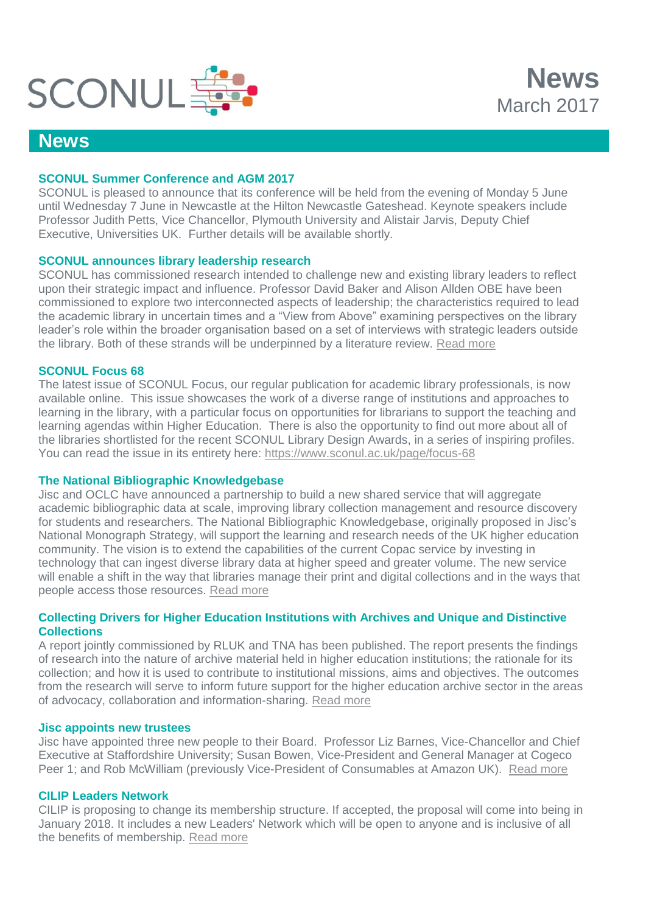

# **News**

# **SCONUL Summer Conference and AGM 2017**

SCONUL is pleased to announce that its conference will be held from the evening of Monday 5 June until Wednesday 7 June in Newcastle at the Hilton Newcastle Gateshead. Keynote speakers include Professor Judith Petts, Vice Chancellor, Plymouth University and Alistair Jarvis, Deputy Chief Executive, Universities UK. Further details will be available shortly.

## **SCONUL announces library leadership research**

SCONUL has commissioned research intended to challenge new and existing library leaders to reflect upon their strategic impact and influence. Professor David Baker and Alison Allden OBE have been commissioned to explore two interconnected aspects of leadership; the characteristics required to lead the academic library in uncertain times and a "View from Above" examining perspectives on the library leader's role within the broader organisation based on a set of interviews with strategic leaders outside the library. Both of these strands will be underpinned by a literature review. [Read more](https://www.sconul.ac.uk/news/sconul-announces-library-leadership-research)

#### **SCONUL Focus 68**

The latest issue of SCONUL Focus, our regular publication for academic library professionals, is now available online. This issue showcases the work of a diverse range of institutions and approaches to learning in the library, with a particular focus on opportunities for librarians to support the teaching and learning agendas within Higher Education. There is also the opportunity to find out more about all of the libraries shortlisted for the recent SCONUL Library Design Awards, in a series of inspiring profiles. You can read the issue in its entirety here:<https://www.sconul.ac.uk/page/focus-68>

#### **The National Bibliographic Knowledgebase**

Jisc and OCLC have announced a partnership to build a new shared service that will aggregate academic bibliographic data at scale, improving library collection management and resource discovery for students and researchers. The National Bibliographic Knowledgebase, originally proposed in Jisc's National Monograph Strategy, will support the learning and research needs of the UK higher education community. The vision is to extend the capabilities of the current Copac service by investing in technology that can ingest diverse library data at higher speed and greater volume. The new service will enable a shift in the way that libraries manage their print and digital collections and in the ways that people access those resources. [Read more](https://www.jisc.ac.uk/news/new-uk-wide-service-will-transform-library-collaboration-03-feb-2017)

## **Collecting Drivers for Higher Education Institutions with Archives and Unique and Distinctive Collections**

A report jointly commissioned by RLUK and TNA has been published. The report presents the findings of research into the nature of archive material held in higher education institutions; the rationale for its collection; and how it is used to contribute to institutional missions, aims and objectives. The outcomes from the research will serve to inform future support for the higher education archive sector in the areas of advocacy, collaboration and information-sharing. [Read more](http://www.rluk.ac.uk/work/collecting-drivers-for-higher-education-institutions-with-archives-and-udcs/)

#### **Jisc appoints new trustees**

Jisc have appointed three new people to their Board. Professor Liz Barnes, Vice-Chancellor and Chief Executive at Staffordshire University; Susan Bowen, Vice-President and General Manager at Cogeco Peer 1; and Rob McWilliam (previously Vice-President of Consumables at Amazon UK). [Read more](https://www.jisc.ac.uk/news/jisc-appoints-new-trustees-to-join-the-digital-revolution-28-feb-2017)

## **CILIP Leaders Network**

CILIP is proposing to change its membership structure. If accepted, the proposal will come into being in January 2018. It includes a new Leaders' Network which will be open to anyone and is inclusive of all the benefits of membership. [Read more](http://www.cilip.org.uk/about/projects-reviews/cilip-membership-2018-fit-future?)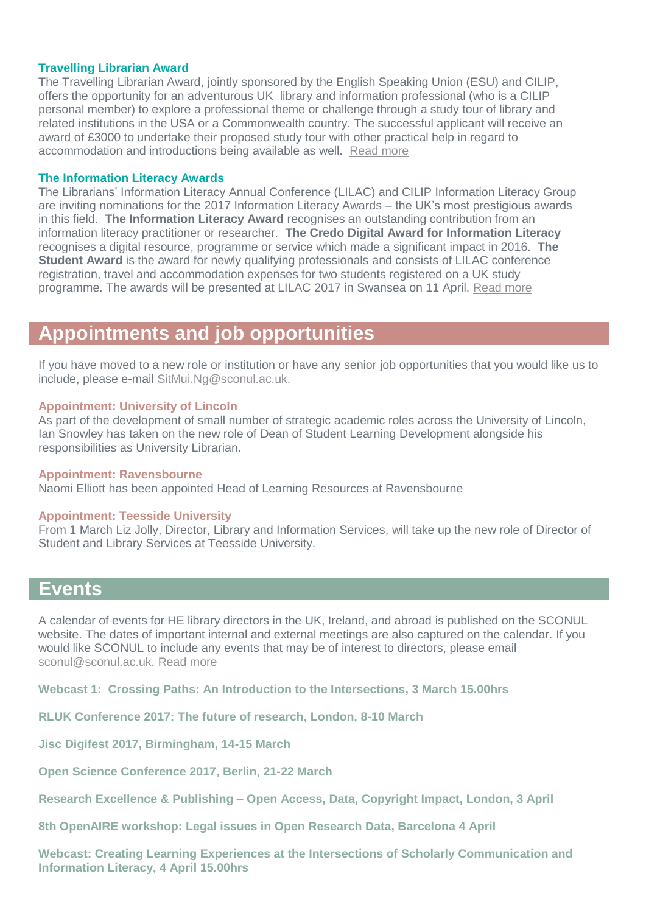#### **Travelling Librarian Award**

The Travelling Librarian Award, jointly sponsored by the English Speaking Union (ESU) and CILIP, offers the opportunity for an adventurous UK library and information professional (who is a CILIP personal member) to explore a professional theme or challenge through a study tour of library and related institutions in the USA or a Commonwealth country. The successful applicant will receive an award of £3000 to undertake their proposed study tour with other practical help in regard to accommodation and introductions being available as well. [Read more](https://www.cilip.org.uk/cilip/membership/membership-benefits/careers-advice-and-support/grants-and-bursaries/travelling)

#### **The Information Literacy Awards**

The Librarians' Information Literacy Annual Conference (LILAC) and CILIP Information Literacy Group are inviting nominations for the 2017 Information Literacy Awards – the UK's most prestigious awards in this field. **The Information Literacy Award** recognises an outstanding contribution from an information literacy practitioner or researcher. **The Credo Digital Award for Information Literacy** recognises a digital resource, programme or service which made a significant impact in 2016. **The Student Award** is the award for newly qualifying professionals and consists of LILAC conference registration, travel and accommodation expenses for two students registered on a UK study programme. The awards will be presented at LILAC 2017 in Swansea on 11 April. [Read more](http://www.lilacconference.com/lilac-2017/awards)

# **Appointments and job opportunities**

If you have moved to a new role or institution or have any senior job opportunities that you would like us to include, please e-mail [SitMui.Ng@sconul.ac.uk.](mailto:SitMui.Ng@sconul.ac.uk)

#### **Appointment: University of Lincoln**

As part of the development of small number of strategic academic roles across the University of Lincoln, Ian Snowley has taken on the new role of Dean of Student Learning Development alongside his responsibilities as University Librarian.

#### **Appointment: Ravensbourne**

Naomi Elliott has been appointed Head of Learning Resources at Ravensbourne

#### **Appointment: Teesside University**

From 1 March Liz Jolly, Director, Library and Information Services, will take up the new role of Director of Student and Library Services at Teesside University.

# **Events**

A calendar of events for HE library directors in the UK, Ireland, and abroad is published on the SCONUL website. The dates of important internal and external meetings are also captured on the calendar. If you would like SCONUL to include any events that may be of interest to directors, please email [sconul@sconul.ac.uk.](mailto:sconul@sconul.ac.uk) [Read more](http://www.sconul.ac.uk/page/events-calendar-0)

**[Webcast 1: Crossing Paths: An Introduction to the Intersections, 3 March](https://www.eventbrite.co.uk/e/intersections-of-scholarly-communication-and-information-literacy-tickets-31316034101?aff=eac2) 15.00hrs**

**[RLUK Conference 2017: The future of research, London, 8-10 March](http://rlukconference.com/)** 

**[Jisc Digifest 2017, Birmingham, 14-15 March](https://www.jisc.ac.uk/events/digifest-14-mar-2017)** 

**[Open Science Conference 2017, Berlin, 21-22 March](http://www.open-science-conference.eu/)**

**Research Excellence & Publishing – [Open Access, Data, Copyright Impact, London, 3 April](http://www.ncup.org.uk/research-excellence-and-publishing-seminar-to-be-held-at-kings-college-london-in-april-2017/)**

**[8th OpenAIRE workshop: Legal issues in Open Research Data, Barcelona 4 April](https://www.rd-alliance.org/openaire-workshop-legal-issues-open-research-data)**

**[Webcast: Creating Learning Experiences at the Intersections of Scholarly Communication and](https://www.eventbrite.co.uk/e/intersections-of-scholarly-communication-and-information-literacy-tickets-31316034101?aff=eac2)  [Information Literacy, 4 April 15.00hrs](https://www.eventbrite.co.uk/e/intersections-of-scholarly-communication-and-information-literacy-tickets-31316034101?aff=eac2)**